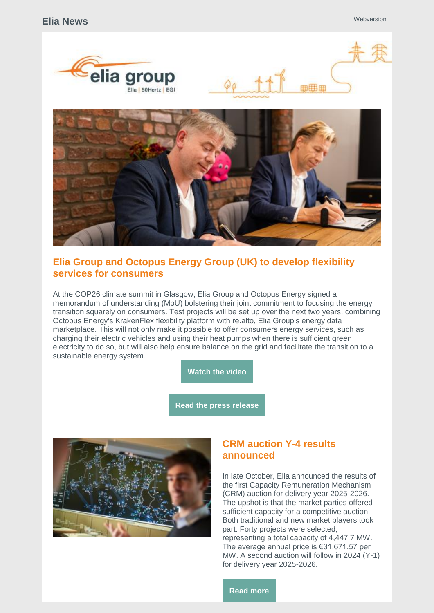





# **Elia Group and Octopus Energy Group (UK) to develop flexibility services for consumers**

At the COP26 climate summit in Glasgow, Elia Group and Octopus Energy signed a memorandum of understanding (MoU) bolstering their joint commitment to focusing the energy transition squarely on consumers. Test projects will be set up over the next two years, combining Octopus Energy's KrakenFlex flexibility platform with re.alto, Elia Group's energy data marketplace. This will not only make it possible to offer consumers energy services, such as charging their electric vehicles and using their heat pumps when there is sufficient green electricity to do so, but will also help ensure balance on the grid and facilitate the transition to a sustainable energy system.

**[Watch](https://www.youtube.com/watch?app=desktop&v=3Ttb-rIuyRM) the video**

**Read the press [release](https://www.elia.be/en/news/press-releases/2021/11/20211103_elia-group-and-octopus-energy-group-sign-agreement)**



# **CRM auction Y-4 results announced**

In late October, Elia announced the results of the first Capacity Remuneration Mechanism (CRM) auction for delivery year 2025-2026. The upshot is that the market parties offered sufficient capacity for a competitive auction. Both traditional and new market players took part. Forty projects were selected, representing a total capacity of 4,447.7 MW. The average annual price is €31,671.57 per MW. A second auction will follow in 2024 (Y-1) for delivery year 2025-2026.

**[Read](https://www.elia.be/en/news/press-releases/2021/10/20211031_crm-results-of-first-auction-available) more**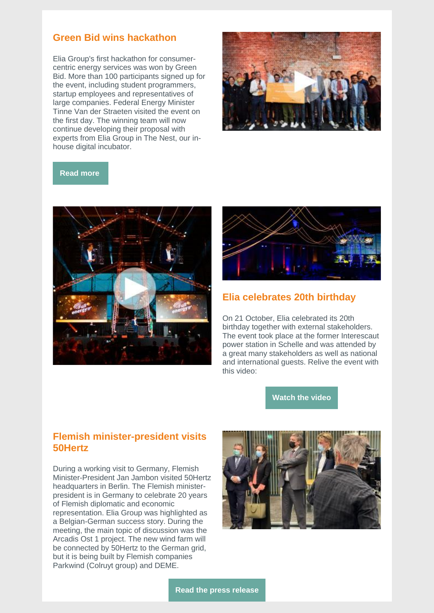# **Green Bid wins hackathon**

Elia Group's first hackathon for consumercentric energy services was won by Green Bid. More than 100 participants signed up for the event, including student programmers, startup employees and representatives of large companies. Federal Energy Minister Tinne Van der Straeten visited the event on the first day. The winning team will now continue developing their proposal with experts from Elia Group in The Nest, our inhouse digital incubator.



#### **[Read](https://www.elia.be/en/news/press-releases/2021/10/20211018_green-bid-wins-eliagroup-first-ever-hackathon-on-energy-services) more**





### **Elia celebrates 20th birthday**

On 21 October, Elia celebrated its 20th birthday together with external stakeholders. The event took place at the former Interescaut power station in Schelle and was attended by a great many stakeholders as well as national and international guests. Relive the event with this video:

**[Watch](https://www.youtube.com/watch?v=hV8do8Cv0UA) the video**

### **Flemish minister-president visits 50Hertz**

During a working visit to Germany, Flemish Minister-President Jan Jambon visited 50Hertz headquarters in Berlin. The Flemish ministerpresident is in Germany to celebrate 20 years of Flemish diplomatic and economic representation. Elia Group was highlighted as a Belgian-German success story. During the meeting, the main topic of discussion was the Arcadis Ost 1 project. The new wind farm will be connected by 50Hertz to the German grid, but it is being built by Flemish companies Parkwind (Colruyt group) and DEME.

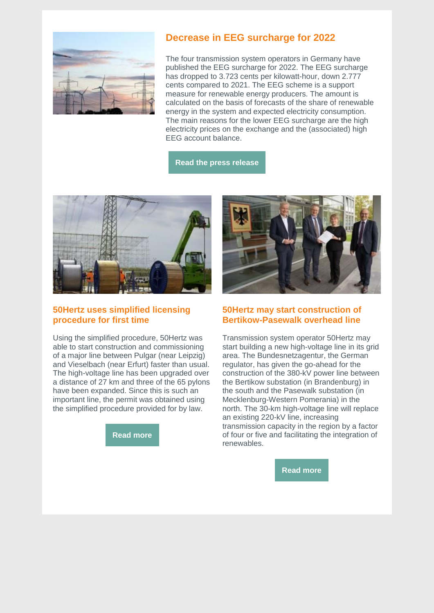

# **Decrease in EEG surcharge for 2022**

The four transmission system operators in Germany have published the EEG surcharge for 2022. The EEG surcharge has dropped to 3.723 cents per kilowatt-hour, down 2.777 cents compared to 2021. The EEG scheme is a support measure for renewable energy producers. The amount is calculated on the basis of forecasts of the share of renewable energy in the system and expected electricity consumption. The main reasons for the lower EEG surcharge are the high electricity prices on the exchange and the (associated) high EEG account balance.

**Read the press [release](https://www.50hertz.com/en/News/FullarticleNewsof50Hertz/11577/eeg-surcharge-for-2022-amounts-to-3-723-cents-per-kilowatt-hour-federal-subsidy-reduces-surcharge-by-0-934-cents-per-kilowatt-hour)**



### **50Hertz uses simplified licensing procedure for first time**

Using the simplified procedure, 50Hertz was able to start construction and commissioning of a major line between Pulgar (near Leipzig) and Vieselbach (near Erfurt) faster than usual. The high-voltage line has been upgraded over a distance of 27 km and three of the 65 pylons have been expanded. Since this is such an important line, the permit was obtained using the simplified procedure provided for by law.

**[Read](https://www.50hertz.com/en/News/Details/11584/simplified-procedure-speeds-up-grid-development) more**



### **50Hertz may start construction of Bertikow-Pasewalk overhead line**

Transmission system operator 50Hertz may start building a new high-voltage line in its grid area. The Bundesnetzagentur, the German regulator, has given the go-ahead for the construction of the 380-kV power line between the Bertikow substation (in Brandenburg) in the south and the Pasewalk substation (in Mecklenburg-Western Pomerania) in the north. The 30-km high-voltage line will replace an existing 220-kV line, increasing transmission capacity in the region by a factor of four or five and facilitating the integration of renewables.

**[Read](https://www.50hertz.com/en/News/FullarticleNewsof50Hertz/11582/bnetza-issues-planning-approval-decision-50hertz-can-start-building-bertikow-pasewalk-overhead-line) more**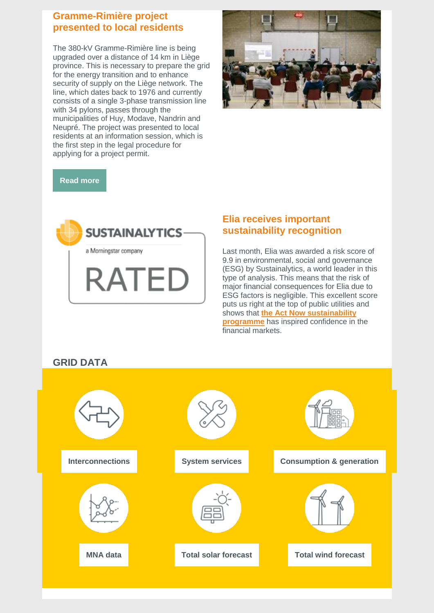### **Gramme-Rimière project presented to local residents**

The 380-kV Gramme-Rimière line is being upgraded over a distance of 14 km in Liège province. This is necessary to prepare the grid for the energy transition and to enhance security of supply on the Liège network. The line, which dates back to 1976 and currently consists of a single 3-phase transmission line with 34 pylons, passes through the municipalities of Huy, Modave, Nandrin and Neupré. The project was presented to local residents at an information session, which is the first step in the legal procedure for applying for a project permit.



**[Read](https://www.elia.be/en/infrastructure-and-projects/infrastructure-projects/gramme-rimiere) more**



# **Elia receives important sustainability recognition**

Last month, Elia was awarded a risk score of 9.9 in environmental, social and governance (ESG) by Sustainalytics, a world leader in this type of analysis. This means that the risk of major financial consequences for Elia due to ESG factors is negligible. This excellent score puts us right at the top of public utilities and shows that **[the Act Now sustainability](https://www.elia.be/en/sustainability)  [programme](https://www.elia.be/en/sustainability)** has inspired confidence in the financial markets.

# **GRID DATA**